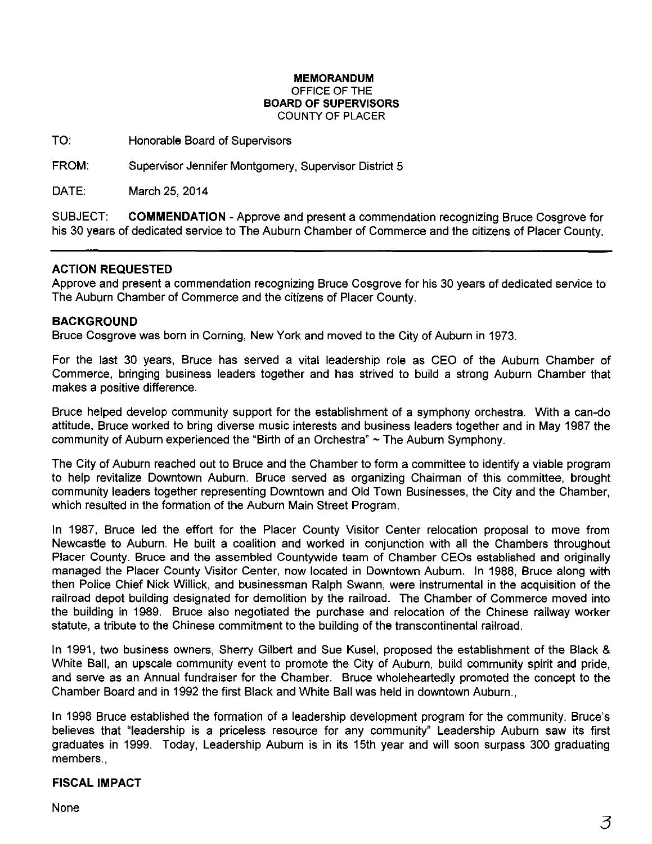### **MEMORANDUM**  OFFICE OF THE **BOARD OF SUPERVISORS**  COUNTY OF PLACER

TO: Honorable Board of Supervisors

FROM: Supervisor Jennifer Montgomery, Supervisor District 5

DATE: March 25, 2014

SUBJECT: **COMMENDATION-** Approve and present a commendation recognizing Bruce Cosgrove for his 30 years of dedicated service to The Auburn Chamber of Commerce and the citizens of Placer County.

# **ACTION REQUESTED**

Approve and present a commendation recognizing Bruce Cosgrove for his 30 years of dedicated service to The Auburn Chamber of Commerce and the citizens of Placer County.

# **BACKGROUND**

Bruce Cosgrove was born in Corning, New York and moved to the City of Auburn in 1973.

For the last 30 years, Bruce has served a vital leadership role as CEO of the Auburn Chamber of Commerce, bringing business leaders together and has strived to build a strong Auburn Chamber that makes a positive difference.

Bruce helped develop community support for the establishment of a symphony orchestra. With a can-do attitude, Bruce worked to bring diverse music interests and business leaders together and in May 1987 the community of Auburn experienced the "Birth of an Orchestra"  $\sim$  The Auburn Symphony.

The City of Auburn reached out to Bruce and the Chamber to form a committee to identify a viable program to help revitalize Downtown Auburn. Bruce served as organizing Chairman of this committee, brought community leaders together representing Downtown and Old Town Businesses, the City and the Chamber, which resulted in the formation of the Auburn Main Street Program.

In 1987, Bruce led the effort for the Placer County Visitor Center relocation proposal to move from Newcastle to Auburn. He built a coalition and worked in conjunction with all the Chambers throughout Placer County. Bruce and the assembled Countywide team of Chamber CEOs established and originally managed the Placer County Visitor Center, now located in Downtown Auburn. In 1988, Bruce along with then Police Chief Nick Willick, and businessman Ralph Swann. were instrumental in the acquisition of the railroad depot building designated for demolition by the railroad. The Chamber of Commerce moved into the building in 1989. Bruce also negotiated the purchase and relocation of the Chinese railway worker statute, a tribute to the Chinese commitment to the building of the transcontinental railroad.

In 1991, two business owners, Sherry Gilbert and Sue Kusel, proposed the establishment of the Black & White Ball, an upscale community event to promote the City of Auburn, build community spirit and pride, and serve as an Annual fundraiser for the Chamber. Bruce wholeheartedly promoted the concept to the Chamber Board and in 1992 the first Black and White Ball was held in downtown Auburn.,

In 1998 Bruce established the formation of a leadership development program for the community. Bruce's believes that "leadership is a priceless resource for any community" Leadership Auburn saw its first graduates in 1999. Today, Leadership Auburn is in its 15th year and will soon surpass 300 graduating members.,

# **FISCAL IMPACT**

None